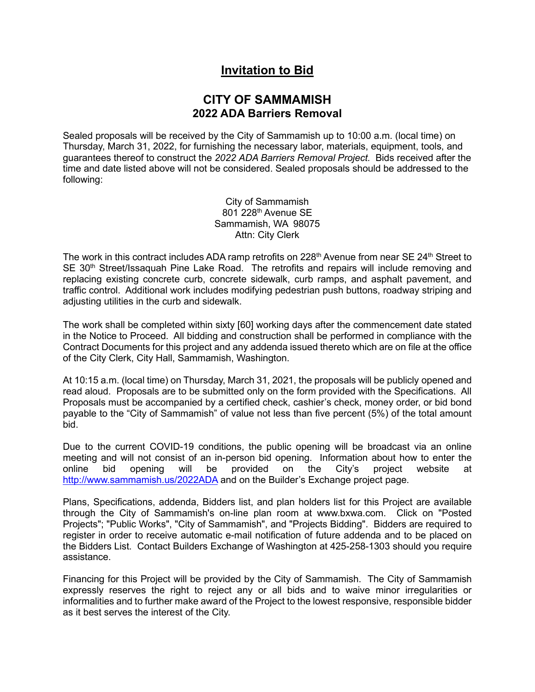## **Invitation to Bid**

## **CITY OF SAMMAMISH 2022 ADA Barriers Removal**

Sealed proposals will be received by the City of Sammamish up to 10:00 a.m. (local time) on Thursday, March 31, 2022, for furnishing the necessary labor, materials, equipment, tools, and guarantees thereof to construct the *2022 ADA Barriers Removal Project.* Bids received after the time and date listed above will not be considered. Sealed proposals should be addressed to the following:

> City of Sammamish 801 228th Avenue SE Sammamish, WA 98075 Attn: City Clerk

The work in this contract includes ADA ramp retrofits on 228<sup>th</sup> Avenue from near SE 24<sup>th</sup> Street to SE 30<sup>th</sup> Street/Issaquah Pine Lake Road. The retrofits and repairs will include removing and replacing existing concrete curb, concrete sidewalk, curb ramps, and asphalt pavement, and traffic control. Additional work includes modifying pedestrian push buttons, roadway striping and adjusting utilities in the curb and sidewalk.

The work shall be completed within sixty [60] working days after the commencement date stated in the Notice to Proceed. All bidding and construction shall be performed in compliance with the Contract Documents for this project and any addenda issued thereto which are on file at the office of the City Clerk, City Hall, Sammamish, Washington.

At 10:15 a.m. (local time) on Thursday, March 31, 2021, the proposals will be publicly opened and read aloud. Proposals are to be submitted only on the form provided with the Specifications. All Proposals must be accompanied by a certified check, cashier's check, money order, or bid bond payable to the "City of Sammamish" of value not less than five percent (5%) of the total amount bid.

Due to the current COVID-19 conditions, the public opening will be broadcast via an online meeting and will not consist of an in-person bid opening. Information about how to enter the online bid opening will be provided on the City's project website at <http://www.sammamish.us/2022ADA> and on the Builder's Exchange project page.

Plans, Specifications, addenda, Bidders list, and plan holders list for this Project are available through the City of Sammamish's on-line plan room at www.bxwa.com. Click on "Posted Projects"; "Public Works", "City of Sammamish", and "Projects Bidding". Bidders are required to register in order to receive automatic e-mail notification of future addenda and to be placed on the Bidders List. Contact Builders Exchange of Washington at 425-258-1303 should you require assistance.

Financing for this Project will be provided by the City of Sammamish. The City of Sammamish expressly reserves the right to reject any or all bids and to waive minor irregularities or informalities and to further make award of the Project to the lowest responsive, responsible bidder as it best serves the interest of the City.